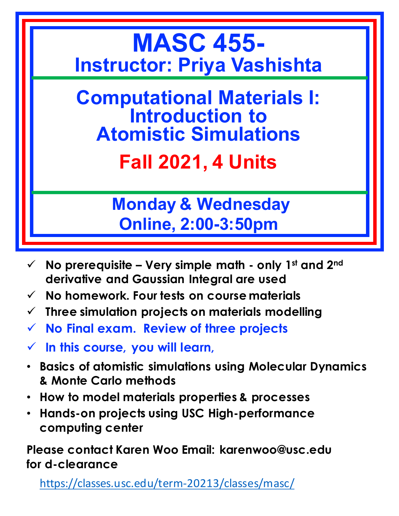# **MASC 455- Instructor: Priya Vashishta**

**Computational Materials I: Introduction to Atomistic Simulations** 

## **Fall 2021, 4 Units**

**Monday & Wednesday Online, 2:00-3:50pm**

- $\checkmark$  No prerequisite Very simple math only 1st and 2<sup>nd</sup> **derivative and Gaussian Integral are used**
- ü **No homework. Four tests on course materials**
- $\checkmark$  Three simulation projects on materials modelling
- ü **No Final exam. Review of three projects**
- ü **In this course, you will learn,**
- **Basics of atomistic simulations using Molecular Dynamics & Monte Carlo methods**
- **How to model materials properties & processes**
- **Hands-on projects using USC High-performance computing center**

**Please contact Karen Woo Email: karenwoo@usc.edu for d-clearance**

https://classes.usc.edu/term-20213/classes/masc/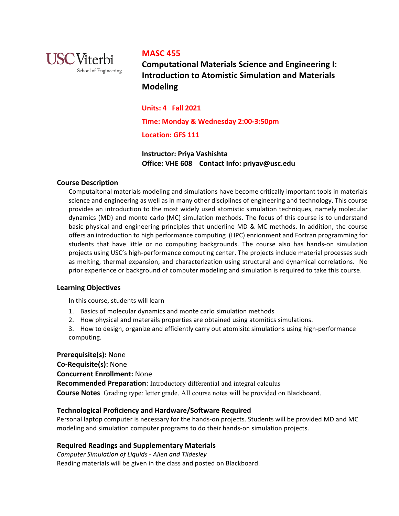

## **MASC 455**

**Computational Materials Science and Engineering I: Introduction to Atomistic Simulation and Materials Modeling**

**Units: 4 Fall 2021 Time: Monday & Wednesday 2:00-3:50pm** Location: GFS 111

**Instructor: Priya Vashishta Office: VHE 608 Contact Info: priyav@usc.edu**

#### **Course Description**

Computaitonal materials modeling and simulations have become critically important tools in materials science and engineering as well as in many other disciplines of engineering and technology. This course provides an introduction to the most widely used atomistic simulation techniques, namely molecular dynamics (MD) and monte carlo (MC) simulation methods. The focus of this course is to understand basic physical and engineering principles that underline MD & MC methods. In addition, the course offers an introduction to high performance computing (HPC) enrionment and Fortran programming for students that have little or no computing backgrounds. The course also has hands-on simulation projects using USC's high-performance computing center. The projects include material processes such as melting, thermal expansion, and characterization using structural and dynamical correlations. No prior experience or background of computer modeling and simulation is required to take this course.

#### **Learning Objectives**

In this course, students will learn

- 1. Basics of molecular dynamics and monte carlo simulation methods
- 2. How physical and materails properties are obtained using atomitics simulations.
- 3. How to design, organize and efficiently carry out atomisitc simulations using high-performance computing.

## **Prerequisite(s):** None

**Co-Requisite(s):** None

## **Concurrent Enrollment: None**

**Recommended Preparation**: Introductory differential and integral calculus **Course Notes** Grading type: letter grade. All course notes will be provided on Blackboard.

## **Technological Proficiency and Hardware/Software Required**

Personal laptop computer is necessary for the hands-on projects. Students will be provided MD and MC modeling and simulation computer programs to do their hands-on simulation projects.

## **Required Readings and Supplementary Materials**

*Computer Simulation of Liquids - Allen and Tildesley* Reading materials will be given in the class and posted on Blackboard.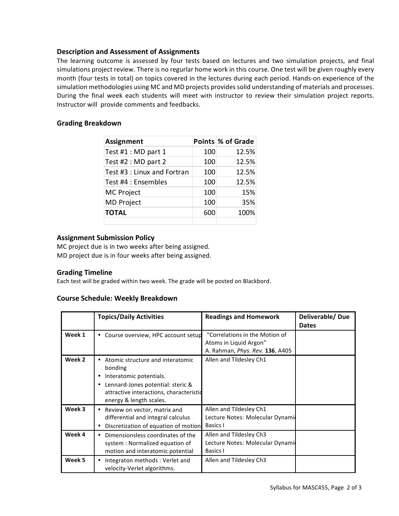#### **Description and Assessment of Assignments**

The learning outcome is assessed by four tests based on lectures and two simulation projects, and final simulations project review. There is no regurlar home work in this course. One test will be given roughly every month (four tests in total) on topics covered in the lectures during each period. Hands-on experience of the simulation methodologies using MC and MD projects provides solid understanding of materials and processes. During the final week each students will meet with instructor to review their simulation project reports. Instructor will provide comments and feedbacks.

#### **Grading Breakdown**

| <b>Assignment</b>           |     | Points % of Grade |
|-----------------------------|-----|-------------------|
| Test #1 : MD part 1         | 100 | 12.5%             |
| Test #2 : MD part 2         | 100 | 12.5%             |
| Test #3 : Linux and Fortran | 100 | 12.5%             |
| Test #4 : Ensembles         | 100 | 12.5%             |
| <b>MC Project</b>           | 100 | 15%               |
| <b>MD Project</b>           | 100 | 35%               |
| <b>TOTAL</b>                | 600 | 100%              |
|                             |     |                   |

#### **Assignment Submission Policy**

MC project due is in two weeks after being assigned. MD project due is in four weeks after being assigned.

#### **Grading Timeline**

Each test will be graded within two week. The grade will be posted on Blackbord.

## **Course Schedule: Weekly Breakdown**

|        | <b>Topics/Daily Activities</b>                                                                                                                                                    | <b>Readings and Homework</b>                                                                       | Deliverable/Due<br><b>Dates</b> |
|--------|-----------------------------------------------------------------------------------------------------------------------------------------------------------------------------------|----------------------------------------------------------------------------------------------------|---------------------------------|
| Week 1 | Course overview, HPC account setup                                                                                                                                                | "Correlations in the Motion of<br>Atoms in Liquid Argon"<br>A. Rahman, <i>Phys. Rev.</i> 136, A405 |                                 |
| Week 2 | Atomic structure and interatomic<br>bonding<br>Interatomic potentials.<br>Lennard-Jones potential: steric &<br>attractive interactions, characteristic<br>energy & length scales. | Allen and Tildesley Ch1                                                                            |                                 |
| Week 3 | Review on vector, matrix and<br>differential and integral calculus<br>Discretization of equation of motion                                                                        | Allen and Tildesley Ch1<br>Lecture Notes: Molecular Dynami<br>Basics I                             |                                 |
| Week 4 | Dimensionsless coordinates of the<br>system: Normalized equation of<br>motion and interatomic potential                                                                           | Allen and Tildesley Ch3<br>Lecture Notes: Molecular Dynami<br>Basics I                             |                                 |
| Week 5 | Integraton methods: Verlet and<br>velocity-Verlet algorithms.                                                                                                                     | Allen and Tildesley Ch3                                                                            |                                 |